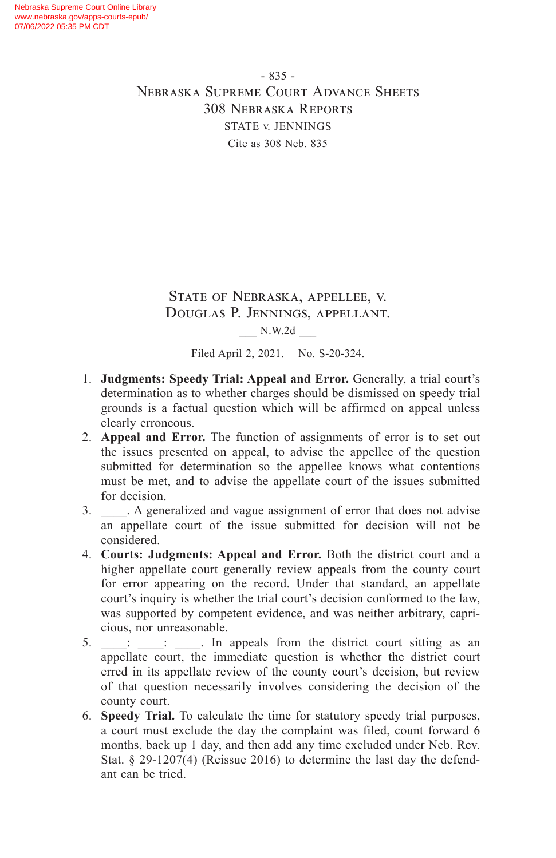- 835 - Nebraska Supreme Court Advance Sheets 308 Nebraska Reports STATE v. JENNINGS Cite as 308 Neb. 835

# State of Nebraska, appellee, v. Douglas P. Jennings, appellant. \_\_\_ N.W.2d \_\_\_

Filed April 2, 2021. No. S-20-324.

- 1. **Judgments: Speedy Trial: Appeal and Error.** Generally, a trial court's determination as to whether charges should be dismissed on speedy trial grounds is a factual question which will be affirmed on appeal unless clearly erroneous.
- 2. **Appeal and Error.** The function of assignments of error is to set out the issues presented on appeal, to advise the appellee of the question submitted for determination so the appellee knows what contentions must be met, and to advise the appellate court of the issues submitted for decision.
- 3. \_\_\_\_. A generalized and vague assignment of error that does not advise an appellate court of the issue submitted for decision will not be considered.
- 4. **Courts: Judgments: Appeal and Error.** Both the district court and a higher appellate court generally review appeals from the county court for error appearing on the record. Under that standard, an appellate court's inquiry is whether the trial court's decision conformed to the law, was supported by competent evidence, and was neither arbitrary, capricious, nor unreasonable.
- 5.  $\vdots$  : In appeals from the district court sitting as an appellate court, the immediate question is whether the district court erred in its appellate review of the county court's decision, but review of that question necessarily involves considering the decision of the county court.
- 6. **Speedy Trial.** To calculate the time for statutory speedy trial purposes, a court must exclude the day the complaint was filed, count forward 6 months, back up 1 day, and then add any time excluded under Neb. Rev. Stat. § 29-1207(4) (Reissue 2016) to determine the last day the defendant can be tried.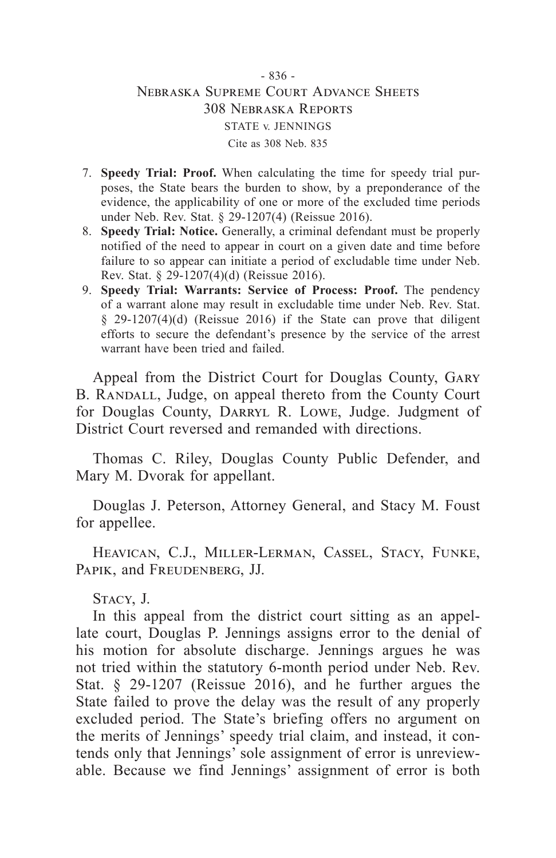# - 836 - Nebraska Supreme Court Advance Sheets 308 Nebraska Reports STATE v. JENNINGS Cite as 308 Neb. 835

- 7. **Speedy Trial: Proof.** When calculating the time for speedy trial purposes, the State bears the burden to show, by a preponderance of the evidence, the applicability of one or more of the excluded time periods under Neb. Rev. Stat. § 29-1207(4) (Reissue 2016).
- 8. **Speedy Trial: Notice.** Generally, a criminal defendant must be properly notified of the need to appear in court on a given date and time before failure to so appear can initiate a period of excludable time under Neb. Rev. Stat. § 29-1207(4)(d) (Reissue 2016).
- 9. **Speedy Trial: Warrants: Service of Process: Proof.** The pendency of a warrant alone may result in excludable time under Neb. Rev. Stat. § 29-1207(4)(d) (Reissue 2016) if the State can prove that diligent efforts to secure the defendant's presence by the service of the arrest warrant have been tried and failed.

Appeal from the District Court for Douglas County, Gary B. RANDALL, Judge, on appeal thereto from the County Court for Douglas County, DARRYL R. LOWE, Judge. Judgment of District Court reversed and remanded with directions.

Thomas C. Riley, Douglas County Public Defender, and Mary M. Dvorak for appellant.

Douglas J. Peterson, Attorney General, and Stacy M. Foust for appellee.

Heavican, C.J., Miller-Lerman, Cassel, Stacy, Funke, PAPIK, and FREUDENBERG, JJ.

Stacy, J.

In this appeal from the district court sitting as an appellate court, Douglas P. Jennings assigns error to the denial of his motion for absolute discharge. Jennings argues he was not tried within the statutory 6-month period under Neb. Rev. Stat. § 29-1207 (Reissue 2016), and he further argues the State failed to prove the delay was the result of any properly excluded period. The State's briefing offers no argument on the merits of Jennings' speedy trial claim, and instead, it contends only that Jennings' sole assignment of error is unreviewable. Because we find Jennings' assignment of error is both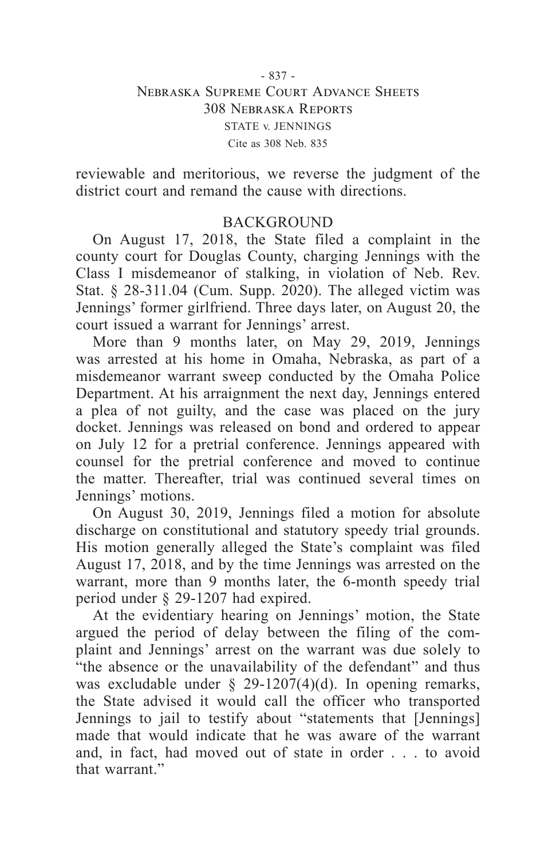#### - 837 - Nebraska Supreme Court Advance Sheets 308 Nebraska Reports STATE v. JENNINGS Cite as 308 Neb. 835

reviewable and meritorious, we reverse the judgment of the district court and remand the cause with directions.

# **BACKGROUND**

On August 17, 2018, the State filed a complaint in the county court for Douglas County, charging Jennings with the Class I misdemeanor of stalking, in violation of Neb. Rev. Stat. § 28-311.04 (Cum. Supp. 2020). The alleged victim was Jennings' former girlfriend. Three days later, on August 20, the court issued a warrant for Jennings' arrest.

More than 9 months later, on May 29, 2019, Jennings was arrested at his home in Omaha, Nebraska, as part of a misdemeanor warrant sweep conducted by the Omaha Police Department. At his arraignment the next day, Jennings entered a plea of not guilty, and the case was placed on the jury docket. Jennings was released on bond and ordered to appear on July 12 for a pretrial conference. Jennings appeared with counsel for the pretrial conference and moved to continue the matter. Thereafter, trial was continued several times on Jennings' motions.

On August 30, 2019, Jennings filed a motion for absolute discharge on constitutional and statutory speedy trial grounds. His motion generally alleged the State's complaint was filed August 17, 2018, and by the time Jennings was arrested on the warrant, more than 9 months later, the 6-month speedy trial period under § 29-1207 had expired.

At the evidentiary hearing on Jennings' motion, the State argued the period of delay between the filing of the complaint and Jennings' arrest on the warrant was due solely to "the absence or the unavailability of the defendant" and thus was excludable under  $\S$  29-1207(4)(d). In opening remarks, the State advised it would call the officer who transported Jennings to jail to testify about "statements that [Jennings] made that would indicate that he was aware of the warrant and, in fact, had moved out of state in order . . . to avoid that warrant."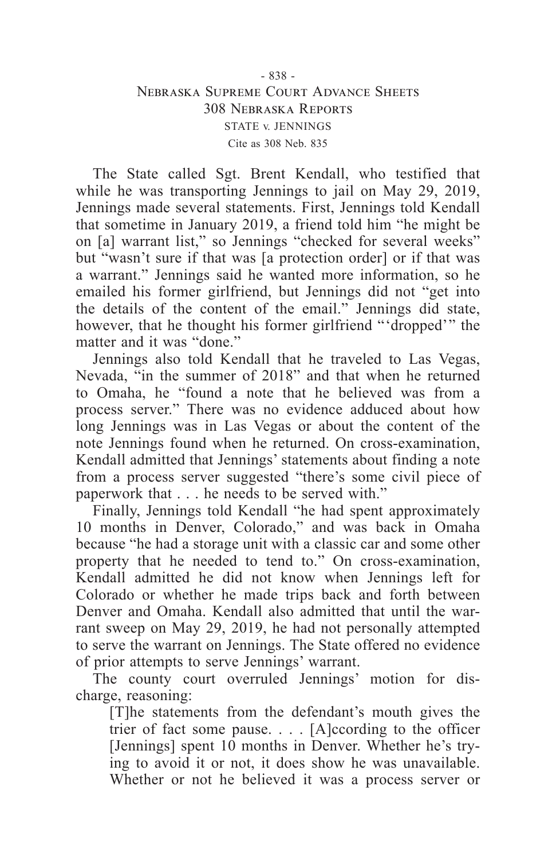### - 838 - Nebraska Supreme Court Advance Sheets 308 Nebraska Reports STATE v. JENNINGS Cite as 308 Neb. 835

The State called Sgt. Brent Kendall, who testified that while he was transporting Jennings to jail on May 29, 2019, Jennings made several statements. First, Jennings told Kendall that sometime in January 2019, a friend told him "he might be on [a] warrant list," so Jennings "checked for several weeks" but "wasn't sure if that was [a protection order] or if that was a warrant." Jennings said he wanted more information, so he emailed his former girlfriend, but Jennings did not "get into the details of the content of the email." Jennings did state, however, that he thought his former girlfriend "'dropped'" the matter and it was "done."

Jennings also told Kendall that he traveled to Las Vegas, Nevada, "in the summer of 2018" and that when he returned to Omaha, he "found a note that he believed was from a process server." There was no evidence adduced about how long Jennings was in Las Vegas or about the content of the note Jennings found when he returned. On cross-examination, Kendall admitted that Jennings' statements about finding a note from a process server suggested "there's some civil piece of paperwork that . . . he needs to be served with."

Finally, Jennings told Kendall "he had spent approximately 10 months in Denver, Colorado," and was back in Omaha because "he had a storage unit with a classic car and some other property that he needed to tend to." On cross-examination, Kendall admitted he did not know when Jennings left for Colorado or whether he made trips back and forth between Denver and Omaha. Kendall also admitted that until the warrant sweep on May 29, 2019, he had not personally attempted to serve the warrant on Jennings. The State offered no evidence of prior attempts to serve Jennings' warrant.

The county court overruled Jennings' motion for discharge, reasoning:

[T]he statements from the defendant's mouth gives the trier of fact some pause. . . . [A]ccording to the officer [Jennings] spent 10 months in Denver. Whether he's trying to avoid it or not, it does show he was unavailable. Whether or not he believed it was a process server or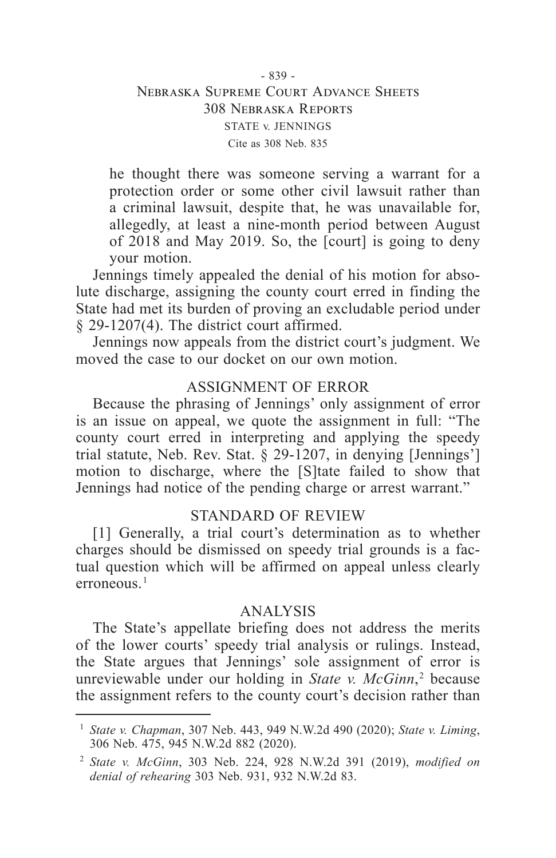## - 839 - Nebraska Supreme Court Advance Sheets 308 Nebraska Reports STATE v. JENNINGS Cite as 308 Neb. 835

he thought there was someone serving a warrant for a protection order or some other civil lawsuit rather than a criminal lawsuit, despite that, he was unavailable for, allegedly, at least a nine-month period between August of 2018 and May 2019. So, the [court] is going to deny your motion.

Jennings timely appealed the denial of his motion for absolute discharge, assigning the county court erred in finding the State had met its burden of proving an excludable period under § 29-1207(4). The district court affirmed.

Jennings now appeals from the district court's judgment. We moved the case to our docket on our own motion.

# ASSIGNMENT OF ERROR

Because the phrasing of Jennings' only assignment of error is an issue on appeal, we quote the assignment in full: "The county court erred in interpreting and applying the speedy trial statute, Neb. Rev. Stat. § 29-1207, in denying [Jennings'] motion to discharge, where the [S]tate failed to show that Jennings had notice of the pending charge or arrest warrant."

## STANDARD OF REVIEW

[1] Generally, a trial court's determination as to whether charges should be dismissed on speedy trial grounds is a factual question which will be affirmed on appeal unless clearly erroneous.<sup>1</sup>

## ANALYSIS

The State's appellate briefing does not address the merits of the lower courts' speedy trial analysis or rulings. Instead, the State argues that Jennings' sole assignment of error is unreviewable under our holding in *State v. McGinn*,  2 because the assignment refers to the county court's decision rather than

<sup>1</sup> *State v. Chapman*, 307 Neb. 443, 949 N.W.2d 490 (2020); *State v. Liming*, 306 Neb. 475, 945 N.W.2d 882 (2020).

<sup>2</sup> *State v. McGinn*, 303 Neb. 224, 928 N.W.2d 391 (2019), *modified on denial of rehearing* 303 Neb. 931, 932 N.W.2d 83.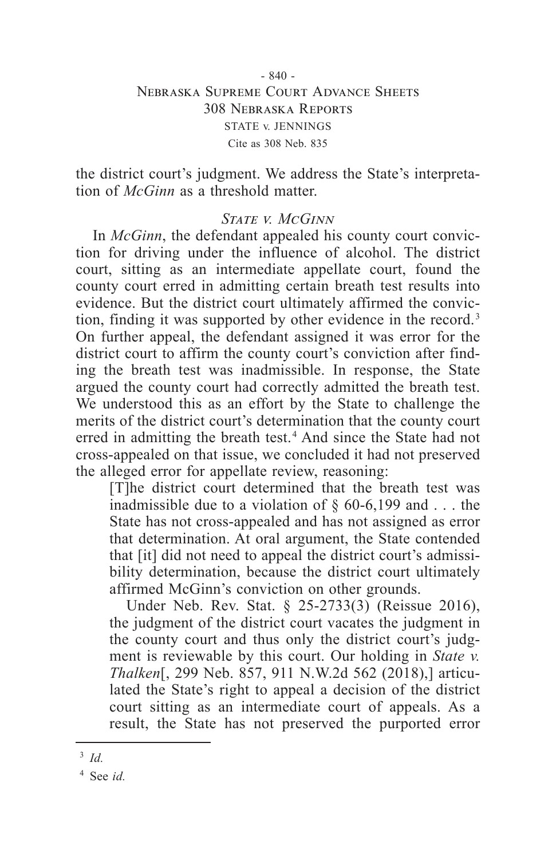### - 840 - Nebraska Supreme Court Advance Sheets 308 Nebraska Reports STATE v. JENNINGS Cite as 308 Neb. 835

the district court's judgment. We address the State's interpretation of *McGinn* as a threshold matter.

#### *State v. McGinn*

In *McGinn*, the defendant appealed his county court conviction for driving under the influence of alcohol. The district court, sitting as an intermediate appellate court, found the county court erred in admitting certain breath test results into evidence. But the district court ultimately affirmed the conviction, finding it was supported by other evidence in the record. 3 On further appeal, the defendant assigned it was error for the district court to affirm the county court's conviction after finding the breath test was inadmissible. In response, the State argued the county court had correctly admitted the breath test. We understood this as an effort by the State to challenge the merits of the district court's determination that the county court erred in admitting the breath test.<sup>4</sup> And since the State had not cross-appealed on that issue, we concluded it had not preserved the alleged error for appellate review, reasoning:

[T]he district court determined that the breath test was inadmissible due to a violation of  $\S$  60-6,199 and ... the State has not cross-appealed and has not assigned as error that determination. At oral argument, the State contended that [it] did not need to appeal the district court's admissibility determination, because the district court ultimately affirmed McGinn's conviction on other grounds.

Under Neb. Rev. Stat. § 25-2733(3) (Reissue 2016), the judgment of the district court vacates the judgment in the county court and thus only the district court's judgment is reviewable by this court. Our holding in *State v. Thalken*[, 299 Neb. 857, 911 N.W.2d 562 (2018),] articulated the State's right to appeal a decision of the district court sitting as an intermediate court of appeals. As a result, the State has not preserved the purported error

<sup>3</sup> *Id.*

<sup>4</sup> See *id.*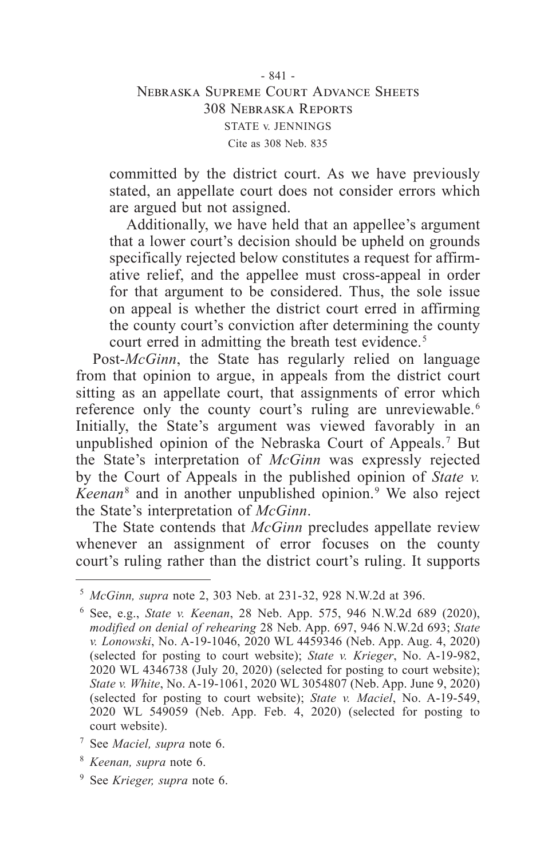## - 841 - Nebraska Supreme Court Advance Sheets 308 Nebraska Reports STATE v. JENNINGS Cite as 308 Neb. 835

committed by the district court. As we have previously stated, an appellate court does not consider errors which are argued but not assigned.

Additionally, we have held that an appellee's argument that a lower court's decision should be upheld on grounds specifically rejected below constitutes a request for affirmative relief, and the appellee must cross-appeal in order for that argument to be considered. Thus, the sole issue on appeal is whether the district court erred in affirming the county court's conviction after determining the county court erred in admitting the breath test evidence. 5

Post-*McGinn*, the State has regularly relied on language from that opinion to argue, in appeals from the district court sitting as an appellate court, that assignments of error which reference only the county court's ruling are unreviewable. 6 Initially, the State's argument was viewed favorably in an unpublished opinion of the Nebraska Court of Appeals.<sup>7</sup> But the State's interpretation of *McGinn* was expressly rejected by the Court of Appeals in the published opinion of *State v. Keenan* 8 and in another unpublished opinion. 9 We also reject the State's interpretation of *McGinn*.

The State contends that *McGinn* precludes appellate review whenever an assignment of error focuses on the county court's ruling rather than the district court's ruling. It supports

- <sup>7</sup> See *Maciel, supra* note 6.
- <sup>8</sup> *Keenan, supra* note 6.
- <sup>9</sup> See *Krieger, supra* note 6.

<sup>5</sup> *McGinn, supra* note 2, 303 Neb. at 231-32, 928 N.W.2d at 396.

<sup>6</sup> See, e.g., *State v. Keenan*, 28 Neb. App. 575, 946 N.W.2d 689 (2020), *modified on denial of rehearing* 28 Neb. App. 697, 946 N.W.2d 693; *State v. Lonowski*, No. A-19-1046, 2020 WL 4459346 (Neb. App. Aug. 4, 2020) (selected for posting to court website); *State v. Krieger*, No. A-19-982, 2020 WL 4346738 (July 20, 2020) (selected for posting to court website); *State v. White*, No. A-19-1061, 2020 WL 3054807 (Neb. App. June 9, 2020) (selected for posting to court website); *State v. Maciel*, No. A-19-549, 2020 WL 549059 (Neb. App. Feb. 4, 2020) (selected for posting to court website).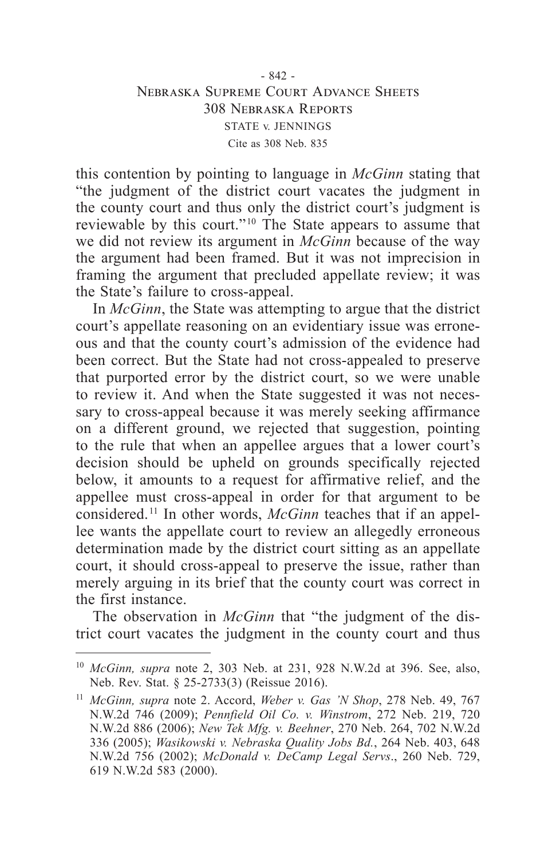this contention by pointing to language in *McGinn* stating that "the judgment of the district court vacates the judgment in the county court and thus only the district court's judgment is reviewable by this court." 10 The State appears to assume that we did not review its argument in *McGinn* because of the way the argument had been framed. But it was not imprecision in framing the argument that precluded appellate review; it was the State's failure to cross-appeal.

In *McGinn*, the State was attempting to argue that the district court's appellate reasoning on an evidentiary issue was erroneous and that the county court's admission of the evidence had been correct. But the State had not cross-appealed to preserve that purported error by the district court, so we were unable to review it. And when the State suggested it was not necessary to cross-appeal because it was merely seeking affirmance on a different ground, we rejected that suggestion, pointing to the rule that when an appellee argues that a lower court's decision should be upheld on grounds specifically rejected below, it amounts to a request for affirmative relief, and the appellee must cross-appeal in order for that argument to be considered. 11 In other words, *McGinn* teaches that if an appellee wants the appellate court to review an allegedly erroneous determination made by the district court sitting as an appellate court, it should cross-appeal to preserve the issue, rather than merely arguing in its brief that the county court was correct in the first instance.

The observation in *McGinn* that "the judgment of the district court vacates the judgment in the county court and thus

<sup>10</sup> *McGinn, supra* note 2, 303 Neb. at 231, 928 N.W.2d at 396. See, also, Neb. Rev. Stat. § 25-2733(3) (Reissue 2016).

<sup>11</sup> *McGinn, supra* note 2. Accord, *Weber v. Gas 'N Shop*, 278 Neb. 49, 767 N.W.2d 746 (2009); *Pennfield Oil Co. v. Winstrom*, 272 Neb. 219, 720 N.W.2d 886 (2006); *New Tek Mfg. v. Beehner*, 270 Neb. 264, 702 N.W.2d 336 (2005); *Wasikowski v. Nebraska Quality Jobs Bd.*, 264 Neb. 403, 648 N.W.2d 756 (2002); *McDonald v. DeCamp Legal Servs*., 260 Neb. 729, 619 N.W.2d 583 (2000).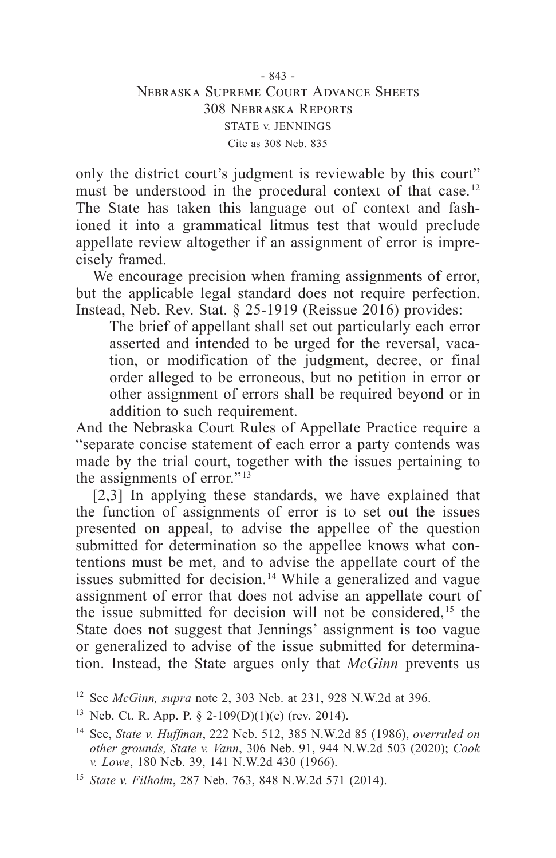only the district court's judgment is reviewable by this court" must be understood in the procedural context of that case.<sup>12</sup> The State has taken this language out of context and fashioned it into a grammatical litmus test that would preclude appellate review altogether if an assignment of error is imprecisely framed.

We encourage precision when framing assignments of error, but the applicable legal standard does not require perfection. Instead, Neb. Rev. Stat. § 25-1919 (Reissue 2016) provides:

The brief of appellant shall set out particularly each error asserted and intended to be urged for the reversal, vacation, or modification of the judgment, decree, or final order alleged to be erroneous, but no petition in error or other assignment of errors shall be required beyond or in addition to such requirement.

And the Nebraska Court Rules of Appellate Practice require a "separate concise statement of each error a party contends was made by the trial court, together with the issues pertaining to the assignments of error." $13$ 

[2,3] In applying these standards, we have explained that the function of assignments of error is to set out the issues presented on appeal, to advise the appellee of the question submitted for determination so the appellee knows what contentions must be met, and to advise the appellate court of the issues submitted for decision. 14 While a generalized and vague assignment of error that does not advise an appellate court of the issue submitted for decision will not be considered, 15 the State does not suggest that Jennings' assignment is too vague or generalized to advise of the issue submitted for determination. Instead, the State argues only that *McGinn* prevents us

<sup>12</sup> See *McGinn, supra* note 2, 303 Neb. at 231, 928 N.W.2d at 396.

<sup>&</sup>lt;sup>13</sup> Neb. Ct. R. App. P.  $\S$  2-109(D)(1)(e) (rev. 2014).

<sup>14</sup> See, *State v. Huffman*, 222 Neb. 512, 385 N.W.2d 85 (1986), *overruled on other grounds, State v. Vann*, 306 Neb. 91, 944 N.W.2d 503 (2020); *Cook v. Lowe*, 180 Neb. 39, 141 N.W.2d 430 (1966).

<sup>15</sup> *State v. Filholm*, 287 Neb. 763, 848 N.W.2d 571 (2014).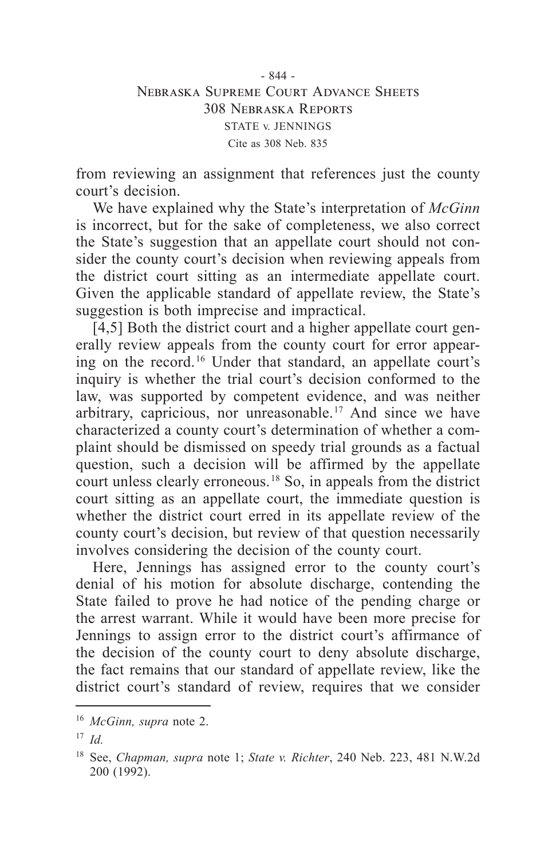- 844 - Nebraska Supreme Court Advance Sheets 308 Nebraska Reports STATE v. JENNINGS Cite as 308 Neb. 835

from reviewing an assignment that references just the county court's decision.

We have explained why the State's interpretation of *McGinn* is incorrect, but for the sake of completeness, we also correct the State's suggestion that an appellate court should not consider the county court's decision when reviewing appeals from the district court sitting as an intermediate appellate court. Given the applicable standard of appellate review, the State's suggestion is both imprecise and impractical.

[4,5] Both the district court and a higher appellate court generally review appeals from the county court for error appearing on the record. 16 Under that standard, an appellate court's inquiry is whether the trial court's decision conformed to the law, was supported by competent evidence, and was neither arbitrary, capricious, nor unreasonable. 17 And since we have characterized a county court's determination of whether a complaint should be dismissed on speedy trial grounds as a factual question, such a decision will be affirmed by the appellate court unless clearly erroneous. 18 So, in appeals from the district court sitting as an appellate court, the immediate question is whether the district court erred in its appellate review of the county court's decision, but review of that question necessarily involves considering the decision of the county court.

Here, Jennings has assigned error to the county court's denial of his motion for absolute discharge, contending the State failed to prove he had notice of the pending charge or the arrest warrant. While it would have been more precise for Jennings to assign error to the district court's affirmance of the decision of the county court to deny absolute discharge, the fact remains that our standard of appellate review, like the district court's standard of review, requires that we consider

<sup>16</sup> *McGinn, supra* note 2.

<sup>17</sup> *Id.*

<sup>18</sup> See, *Chapman, supra* note 1; *State v. Richter*, 240 Neb. 223, 481 N.W.2d 200 (1992).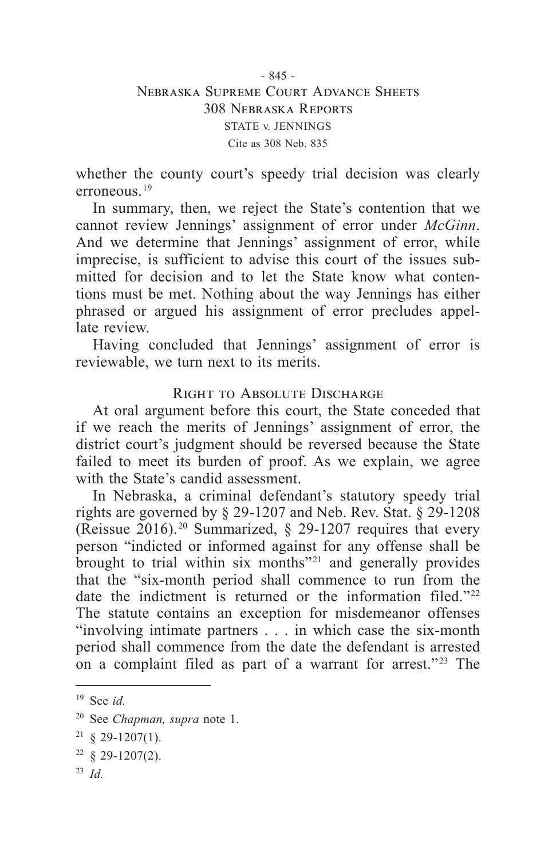- 845 - Nebraska Supreme Court Advance Sheets 308 Nebraska Reports STATE v. JENNINGS Cite as 308 Neb. 835

whether the county court's speedy trial decision was clearly erroneous. 19

In summary, then, we reject the State's contention that we cannot review Jennings' assignment of error under *McGinn*. And we determine that Jennings' assignment of error, while imprecise, is sufficient to advise this court of the issues submitted for decision and to let the State know what contentions must be met. Nothing about the way Jennings has either phrased or argued his assignment of error precludes appellate review.

Having concluded that Jennings' assignment of error is reviewable, we turn next to its merits.

# RIGHT TO ABSOLUTE DISCHARGE

At oral argument before this court, the State conceded that if we reach the merits of Jennings' assignment of error, the district court's judgment should be reversed because the State failed to meet its burden of proof. As we explain, we agree with the State's candid assessment.

In Nebraska, a criminal defendant's statutory speedy trial rights are governed by § 29-1207 and Neb. Rev. Stat. § 29-1208 (Reissue 2016). 20 Summarized, § 29-1207 requires that every person "indicted or informed against for any offense shall be brought to trial within six months<sup> $"21$ </sup> and generally provides that the "six-month period shall commence to run from the date the indictment is returned or the information filed.<sup>"22</sup> The statute contains an exception for misdemeanor offenses "involving intimate partners . . . in which case the six-month period shall commence from the date the defendant is arrested on a complaint filed as part of a warrant for arrest." 23 The

<sup>23</sup> *Id.*

<sup>19</sup> See *id.*

<sup>20</sup> See *Chapman, supra* note 1.

 $21 \& 29 - 1207(1)$ .

 $22 \& 29-1207(2)$ .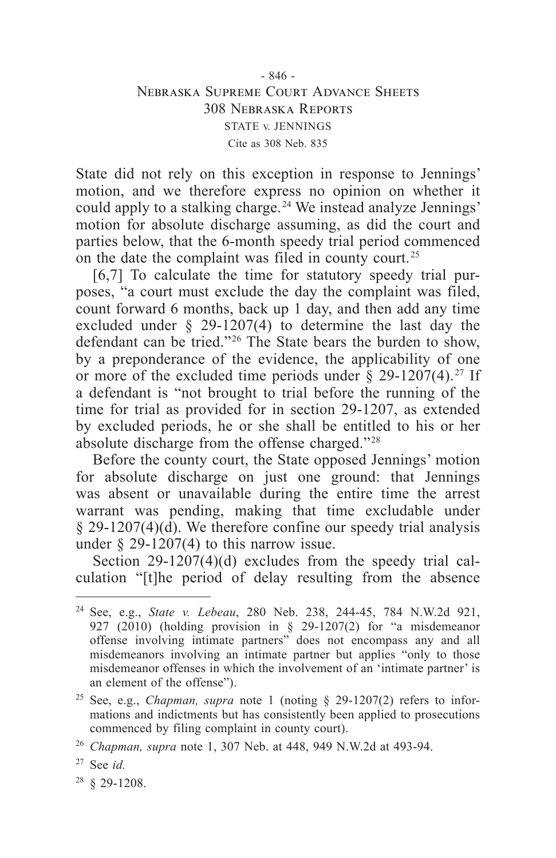### - 846 - Nebraska Supreme Court Advance Sheets 308 Nebraska Reports STATE v. JENNINGS Cite as 308 Neb. 835

State did not rely on this exception in response to Jennings' motion, and we therefore express no opinion on whether it could apply to a stalking charge. 24 We instead analyze Jennings' motion for absolute discharge assuming, as did the court and parties below, that the 6-month speedy trial period commenced on the date the complaint was filed in county court. 25

[6,7] To calculate the time for statutory speedy trial purposes, "a court must exclude the day the complaint was filed, count forward 6 months, back up 1 day, and then add any time excluded under § 29-1207(4) to determine the last day the defendant can be tried." 26 The State bears the burden to show, by a preponderance of the evidence, the applicability of one or more of the excluded time periods under  $\S$  29-1207(4).<sup>27</sup> If a defendant is "not brought to trial before the running of the time for trial as provided for in section 29-1207, as extended by excluded periods, he or she shall be entitled to his or her absolute discharge from the offense charged." 28

Before the county court, the State opposed Jennings' motion for absolute discharge on just one ground: that Jennings was absent or unavailable during the entire time the arrest warrant was pending, making that time excludable under  $\S$  29-1207(4)( $\overline{d}$ ). We therefore confine our speedy trial analysis under  $\S$  29-1207(4) to this narrow issue.

Section 29-1207(4)(d) excludes from the speedy trial calculation "[t]he period of delay resulting from the absence

<sup>24</sup> See, e.g., *State v. Lebeau*, 280 Neb. 238, 244-45, 784 N.W.2d 921, 927 (2010) (holding provision in § 29-1207(2) for "a misdemeanor offense involving intimate partners" does not encompass any and all misdemeanors involving an intimate partner but applies "only to those misdemeanor offenses in which the involvement of an 'intimate partner' is an element of the offense").

<sup>&</sup>lt;sup>25</sup> See, e.g., *Chapman, supra* note 1 (noting  $\S$  29-1207(2) refers to informations and indictments but has consistently been applied to prosecutions commenced by filing complaint in county court).

<sup>26</sup> *Chapman, supra* note 1, 307 Neb. at 448, 949 N.W.2d at 493-94.

<sup>27</sup> See *id.*

<sup>28</sup> § 29-1208.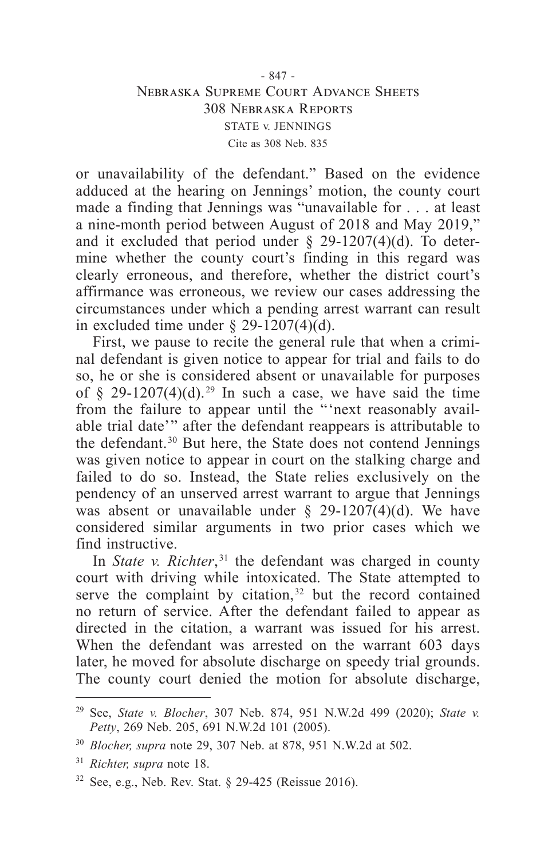## - 847 - Nebraska Supreme Court Advance Sheets 308 Nebraska Reports STATE v. JENNINGS Cite as 308 Neb. 835

or unavailability of the defendant." Based on the evidence adduced at the hearing on Jennings' motion, the county court made a finding that Jennings was "unavailable for . . . at least a nine-month period between August of 2018 and May 2019," and it excluded that period under  $\S$  29-1207(4)(d). To determine whether the county court's finding in this regard was clearly erroneous, and therefore, whether the district court's affirmance was erroneous, we review our cases addressing the circumstances under which a pending arrest warrant can result in excluded time under  $\S$  29-1207(4)(d).

First, we pause to recite the general rule that when a criminal defendant is given notice to appear for trial and fails to do so, he or she is considered absent or unavailable for purposes of § 29-1207(4)(d).<sup>29</sup> In such a case, we have said the time from the failure to appear until the "'next reasonably available trial date'" after the defendant reappears is attributable to the defendant.<sup>30</sup> But here, the State does not contend Jennings was given notice to appear in court on the stalking charge and failed to do so. Instead, the State relies exclusively on the pendency of an unserved arrest warrant to argue that Jennings was absent or unavailable under  $\S$  29-1207(4)(d). We have considered similar arguments in two prior cases which we find instructive.

In *State v. Richter*,<sup>31</sup> the defendant was charged in county court with driving while intoxicated. The State attempted to serve the complaint by citation,<sup>32</sup> but the record contained no return of service. After the defendant failed to appear as directed in the citation, a warrant was issued for his arrest. When the defendant was arrested on the warrant 603 days later, he moved for absolute discharge on speedy trial grounds. The county court denied the motion for absolute discharge,

<sup>29</sup> See, *State v. Blocher*, 307 Neb. 874, 951 N.W.2d 499 (2020); *State v. Petty*, 269 Neb. 205, 691 N.W.2d 101 (2005).

<sup>30</sup> *Blocher, supra* note 29, 307 Neb. at 878, 951 N.W.2d at 502.

<sup>31</sup> *Richter, supra* note 18.

 $32$  See, e.g., Neb. Rev. Stat. § 29-425 (Reissue 2016).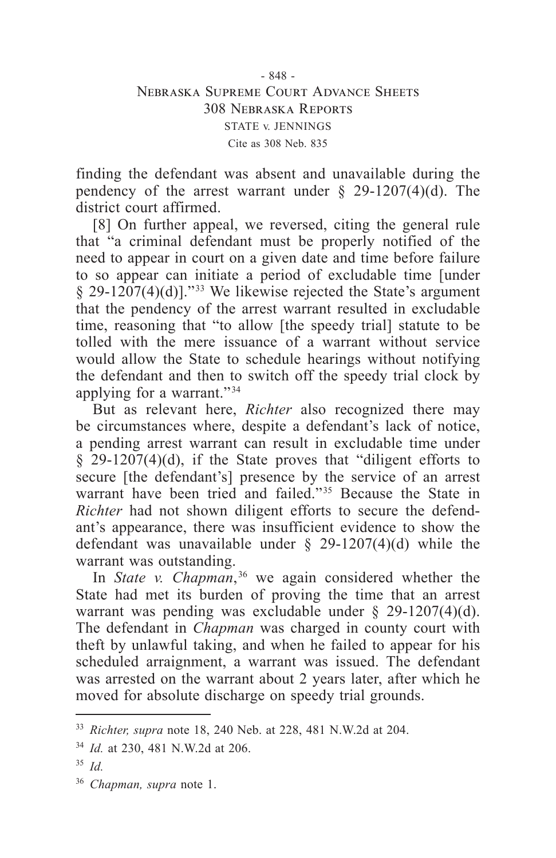- 848 - Nebraska Supreme Court Advance Sheets 308 Nebraska Reports STATE v. JENNINGS Cite as 308 Neb. 835

finding the defendant was absent and unavailable during the pendency of the arrest warrant under  $\S$  29-1207(4)(d). The district court affirmed.

[8] On further appeal, we reversed, citing the general rule that "a criminal defendant must be properly notified of the need to appear in court on a given date and time before failure to so appear can initiate a period of excludable time [under  $§$  29-1207(4)(d)]."<sup>33</sup> We likewise rejected the State's argument that the pendency of the arrest warrant resulted in excludable time, reasoning that "to allow [the speedy trial] statute to be tolled with the mere issuance of a warrant without service would allow the State to schedule hearings without notifying the defendant and then to switch off the speedy trial clock by applying for a warrant." 34

But as relevant here, *Richter* also recognized there may be circumstances where, despite a defendant's lack of notice, a pending arrest warrant can result in excludable time under  $\frac{29-1207(4)}{d}$ , if the State proves that "diligent efforts to secure [the defendant's] presence by the service of an arrest warrant have been tried and failed.<sup>"35</sup> Because the State in *Richter* had not shown diligent efforts to secure the defendant's appearance, there was insufficient evidence to show the defendant was unavailable under  $\S$  29-1207(4)(d) while the warrant was outstanding.

In *State v. Chapman*,  36 we again considered whether the State had met its burden of proving the time that an arrest warrant was pending was excludable under § 29-1207(4)(d). The defendant in *Chapman* was charged in county court with theft by unlawful taking, and when he failed to appear for his scheduled arraignment, a warrant was issued. The defendant was arrested on the warrant about 2 years later, after which he moved for absolute discharge on speedy trial grounds.

<sup>33</sup> *Richter, supra* note 18, 240 Neb. at 228, 481 N.W.2d at 204.

<sup>34</sup> *Id.* at 230, 481 N.W.2d at 206.

<sup>35</sup> *Id.*

<sup>36</sup> *Chapman, supra* note 1.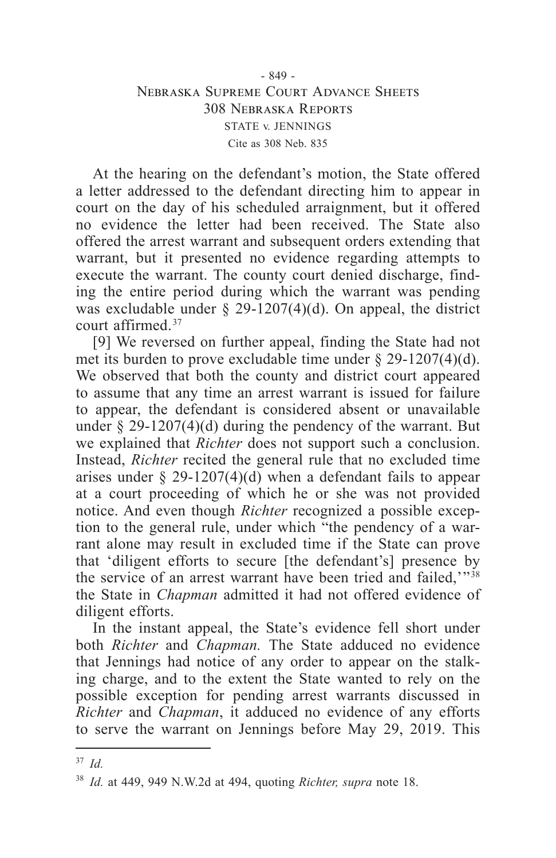## - 849 - Nebraska Supreme Court Advance Sheets 308 Nebraska Reports STATE v. JENNINGS Cite as 308 Neb. 835

At the hearing on the defendant's motion, the State offered a letter addressed to the defendant directing him to appear in court on the day of his scheduled arraignment, but it offered no evidence the letter had been received. The State also offered the arrest warrant and subsequent orders extending that warrant, but it presented no evidence regarding attempts to execute the warrant. The county court denied discharge, finding the entire period during which the warrant was pending was excludable under  $\S$  29-1207(4)(d). On appeal, the district court affirmed. 37

[9] We reversed on further appeal, finding the State had not met its burden to prove excludable time under § 29-1207(4)(d). We observed that both the county and district court appeared to assume that any time an arrest warrant is issued for failure to appear, the defendant is considered absent or unavailable under  $\S 29-1207(4)(d)$  during the pendency of the warrant. But we explained that *Richter* does not support such a conclusion. Instead, *Richter* recited the general rule that no excluded time arises under  $\S$  29-1207(4)(d) when a defendant fails to appear at a court proceeding of which he or she was not provided notice. And even though *Richter* recognized a possible exception to the general rule, under which "the pendency of a warrant alone may result in excluded time if the State can prove that 'diligent efforts to secure [the defendant's] presence by the service of an arrest warrant have been tried and failed,'"<sup>38</sup> the State in *Chapman* admitted it had not offered evidence of diligent efforts.

In the instant appeal, the State's evidence fell short under both *Richter* and *Chapman.* The State adduced no evidence that Jennings had notice of any order to appear on the stalking charge, and to the extent the State wanted to rely on the possible exception for pending arrest warrants discussed in *Richter* and *Chapman*, it adduced no evidence of any efforts to serve the warrant on Jennings before May 29, 2019. This

<sup>37</sup> *Id.*

<sup>38</sup> *Id.* at 449, 949 N.W.2d at 494, quoting *Richter, supra* note 18.